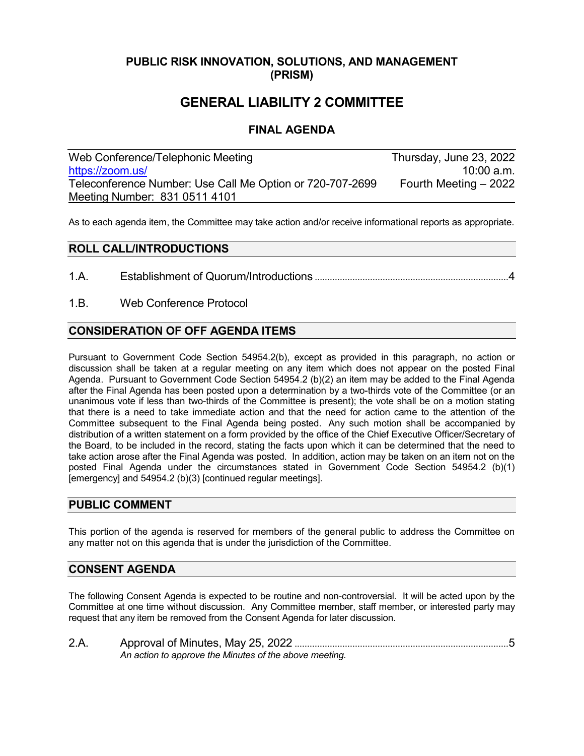# **PUBLIC RISK INNOVATION, SOLUTIONS, AND MANAGEMENT (PRISM)**

# **GENERAL LIABILITY 2 COMMITTEE**

# **FINAL AGENDA**

| Web Conference/Telephonic Meeting                         | Thursday, June 23, 2022 |
|-----------------------------------------------------------|-------------------------|
| https://zoom.us/                                          | $10:00$ a.m.            |
| Teleconference Number: Use Call Me Option or 720-707-2699 | Fourth Meeting - 2022   |
| Meeting Number: 831 0511 4101                             |                         |

As to each agenda item, the Committee may take action and/or receive informational reports as appropriate.

### **ROLL CALL/INTRODUCTIONS**

- 1.A. Establishment of Quorum/Introductions .............................................................................4
- 1.B. Web Conference Protocol

# **CONSIDERATION OF OFF AGENDA ITEMS**

Pursuant to Government Code Section 54954.2(b), except as provided in this paragraph, no action or discussion shall be taken at a regular meeting on any item which does not appear on the posted Final Agenda. Pursuant to Government Code Section 54954.2 (b)(2) an item may be added to the Final Agenda after the Final Agenda has been posted upon a determination by a two-thirds vote of the Committee (or an unanimous vote if less than two-thirds of the Committee is present); the vote shall be on a motion stating that there is a need to take immediate action and that the need for action came to the attention of the Committee subsequent to the Final Agenda being posted. Any such motion shall be accompanied by distribution of a written statement on a form provided by the office of the Chief Executive Officer/Secretary of the Board, to be included in the record, stating the facts upon which it can be determined that the need to take action arose after the Final Agenda was posted. In addition, action may be taken on an item not on the posted Final Agenda under the circumstances stated in Government Code Section 54954.2 (b)(1) [emergency] and 54954.2 (b)(3) [continued regular meetings].

#### **PUBLIC COMMENT**

This portion of the agenda is reserved for members of the general public to address the Committee on any matter not on this agenda that is under the jurisdiction of the Committee.

#### **CONSENT AGENDA**

The following Consent Agenda is expected to be routine and non-controversial. It will be acted upon by the Committee at one time without discussion. Any Committee member, staff member, or interested party may request that any item be removed from the Consent Agenda for later discussion.

| 2.A |                                                        |
|-----|--------------------------------------------------------|
|     | An action to approve the Minutes of the above meeting. |